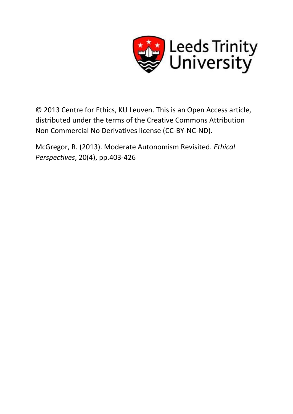

© 2013 Centre for Ethics, KU Leuven. This is an Open Access article, distributed under the terms of the Creative Commons Attribution Non Commercial No Derivatives license (CC-BY-NC-ND).

McGregor, R. (2013). Moderate Autonomism Revisited. *Ethical Perspectives*, 20(4), pp.403-426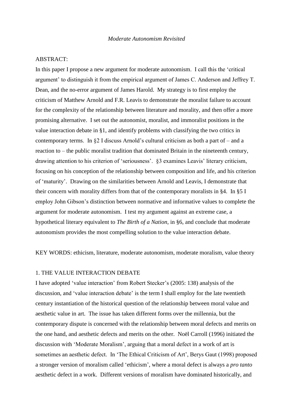# ABSTRACT:

In this paper I propose a new argument for moderate autonomism. I call this the 'critical argument' to distinguish it from the empirical argument of James C. Anderson and Jeffrey T. Dean, and the no-error argument of James Harold. My strategy is to first employ the criticism of Matthew Arnold and F.R. Leavis to demonstrate the moralist failure to account for the complexity of the relationship between literature and morality, and then offer a more promising alternative. I set out the autonomist, moralist, and immoralist positions in the value interaction debate in §1, and identify problems with classifying the two critics in contemporary terms. In  $\S2$  I discuss Arnold's cultural criticism as both a part of – and a reaction to – the public moralist tradition that dominated Britain in the nineteenth century, drawing attention to his criterion of 'seriousness'. §3 examines Leavis' literary criticism, focusing on his conception of the relationship between composition and life, and his criterion of 'maturity'. Drawing on the similarities between Arnold and Leavis, I demonstrate that their concern with morality differs from that of the contemporary moralists in §4. In §5 I employ John Gibson's distinction between normative and informative values to complete the argument for moderate autonomism. I test my argument against an extreme case, a hypothetical literary equivalent to *The Birth of a Nation*, in §6, and conclude that moderate autonomism provides the most compelling solution to the value interaction debate.

KEY WORDS: ethicism, literature, moderate autonomism, moderate moralism, value theory

### 1. THE VALUE INTERACTION DEBATE

I have adopted 'value interaction' from Robert Stecker's (2005: 138) analysis of the discussion, and 'value interaction debate' is the term I shall employ for the late twentieth century instantiation of the historical question of the relationship between moral value and aesthetic value in art. The issue has taken different forms over the millennia, but the contemporary dispute is concerned with the relationship between moral defects and merits on the one hand, and aesthetic defects and merits on the other. Noël Carroll (1996) initiated the discussion with 'Moderate Moralism', arguing that a moral defect in a work of art is sometimes an aesthetic defect. In 'The Ethical Criticism of Art', Berys Gaut (1998) proposed a stronger version of moralism called 'ethicism', where a moral defect is always a *pro tanto* aesthetic defect in a work. Different versions of moralism have dominated historically, and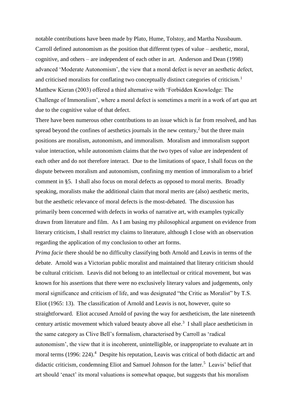notable contributions have been made by Plato, Hume, Tolstoy, and Martha Nussbaum. Carroll defined autonomism as the position that different types of value – aesthetic, moral, cognitive, and others – are independent of each other in art. Anderson and Dean (1998) advanced 'Moderate Autonomism', the view that a moral defect is never an aesthetic defect, and criticised moralists for conflating two conceptually distinct categories of criticism.<sup>1</sup> Matthew Kieran (2003) offered a third alternative with 'Forbidden Knowledge: The Challenge of Immoralism', where a moral defect is sometimes a merit in a work of art *qua* art due to the cognitive value of that defect.

There have been numerous other contributions to an issue which is far from resolved, and has spread beyond the confines of aesthetics journals in the new century, $2$  but the three main positions are moralism, autonomism, and immoralism. Moralism and immoralism support value interaction, while autonomism claims that the two types of value are independent of each other and do not therefore interact. Due to the limitations of space, I shall focus on the dispute between moralism and autonomism, confining my mention of immoralism to a brief comment in §5. I shall also focus on moral defects as opposed to moral merits. Broadly speaking, moralists make the additional claim that moral merits are (also) aesthetic merits, but the aesthetic relevance of moral defects is the most-debated. The discussion has primarily been concerned with defects in works of narrative art, with examples typically drawn from literature and film. As I am basing my philosophical argument on evidence from literary criticism, I shall restrict my claims to literature, although I close with an observation regarding the application of my conclusion to other art forms.

*Prima facie* there should be no difficulty classifying both Arnold and Leavis in terms of the debate. Arnold was a Victorian public moralist and maintained that literary criticism should be cultural criticism. Leavis did not belong to an intellectual or critical movement, but was known for his assertions that there were no exclusively literary values and judgements, only moral significance and criticism of life, and was designated "the Critic as Moralist" by T.S. Eliot (1965: 13). The classification of Arnold and Leavis is not, however, quite so straightforward. Eliot accused Arnold of paving the way for aestheticism, the late nineteenth century artistic movement which valued beauty above all else.<sup>3</sup> I shall place aestheticism in the same category as Clive Bell's formalism, characterised by Carroll as 'radical autonomism', the view that it is incoherent, unintelligible, or inappropriate to evaluate art in moral terms (1996: 224).<sup>4</sup> Despite his reputation, Leavis was critical of both didactic art and didactic criticism, condemning Eliot and Samuel Johnson for the latter.<sup>5</sup> Leavis' belief that art should 'enact' its moral valuations is somewhat opaque, but suggests that his moralism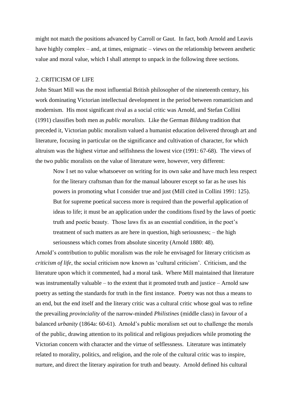might not match the positions advanced by Carroll or Gaut. In fact, both Arnold and Leavis have highly complex – and, at times, enigmatic – views on the relationship between aesthetic value and moral value, which I shall attempt to unpack in the following three sections.

### 2. CRITICISM OF LIFE

John Stuart Mill was the most influential British philosopher of the nineteenth century, his work dominating Victorian intellectual development in the period between romanticism and modernism. His most significant rival as a social critic was Arnold, and Stefan Collini (1991) classifies both men as *public moralists*. Like the German *Bildung* tradition that preceded it, Victorian public moralism valued a humanist education delivered through art and literature, focusing in particular on the significance and cultivation of character, for which altruism was the highest virtue and selfishness the lowest vice (1991: 67-68). The views of the two public moralists on the value of literature were, however, very different:

Now I set no value whatsoever on writing for its own sake and have much less respect for the literary craftsman than for the manual labourer except so far as he uses his powers in promoting what I consider true and just (Mill cited in Collini 1991: 125). But for supreme poetical success more is required than the powerful application of ideas to life; it must be an application under the conditions fixed by the laws of poetic truth and poetic beauty. Those laws fix as an essential condition, in the poet's treatment of such matters as are here in question, high seriousness; – the high seriousness which comes from absolute sincerity (Arnold 1880: 48).

Arnold's contribution to public moralism was the role he envisaged for literary criticism as *criticism of life*, the social criticism now known as 'cultural criticism'. Criticism, and the literature upon which it commented, had a moral task. Where Mill maintained that literature was instrumentally valuable – to the extent that it promoted truth and justice – Arnold saw poetry as setting the standards for truth in the first instance. Poetry was not thus a means to an end, but the end itself and the literary critic was a cultural critic whose goal was to refine the prevailing *provinciality* of the narrow-minded *Philistines* (middle class) in favour of a balanced *urbanity* (1864a: 60-61). Arnold's public moralism set out to challenge the morals of the public, drawing attention to its political and religious prejudices while promoting the Victorian concern with character and the virtue of selflessness. Literature was intimately related to morality, politics, and religion, and the role of the cultural critic was to inspire, nurture, and direct the literary aspiration for truth and beauty. Arnold defined his cultural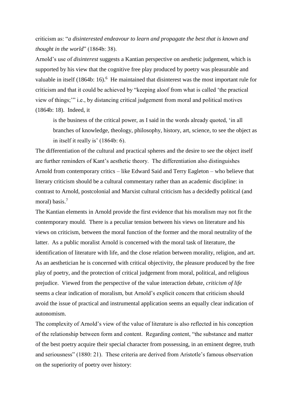criticism as: "*a disinterested endeavour to learn and propagate the best that is known and thought in the world*" (1864b: 38).

Arnold's use of *disinterest* suggests a Kantian perspective on aesthetic judgement, which is supported by his view that the cognitive free play produced by poetry was pleasurable and valuable in itself (1864b: 16).<sup>6</sup> He maintained that disinterest was the most important rule for criticism and that it could be achieved by "keeping aloof from what is called 'the practical view of things;'" i.e., by distancing critical judgement from moral and political motives (1864b: 18). Indeed, it

is the business of the critical power, as I said in the words already quoted, 'in all branches of knowledge, theology, philosophy, history, art, science, to see the object as in itself it really is' (1864b: 6).

The differentiation of the cultural and practical spheres and the desire to see the object itself are further reminders of Kant's aesthetic theory. The differentiation also distinguishes Arnold from contemporary critics – like Edward Said and Terry Eagleton – who believe that literary criticism should be a cultural commentary rather than an academic discipline: in contrast to Arnold, postcolonial and Marxist cultural criticism has a decidedly political (and moral) basis.<sup>7</sup>

The Kantian elements in Arnold provide the first evidence that his moralism may not fit the contemporary mould. There is a peculiar tension between his views on literature and his views on criticism, between the moral function of the former and the moral neutrality of the latter. As a public moralist Arnold is concerned with the moral task of literature, the identification of literature with life, and the close relation between morality, religion, and art. As an aesthetician he is concerned with critical objectivity, the pleasure produced by the free play of poetry, and the protection of critical judgement from moral, political, and religious prejudice. Viewed from the perspective of the value interaction debate, *criticism of life*  seems a clear indication of moralism, but Arnold's explicit concern that criticism should avoid the issue of practical and instrumental application seems an equally clear indication of autonomism.

The complexity of Arnold's view of the value of literature is also reflected in his conception of the relationship between form and content. Regarding content, "the substance and matter of the best poetry acquire their special character from possessing, in an eminent degree, truth and seriousness" (1880: 21). These criteria are derived from Aristotle's famous observation on the superiority of poetry over history: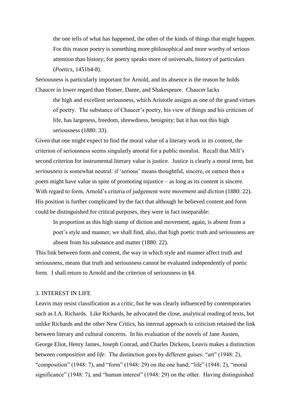the one tells of what has happened, the other of the kinds of things that might happen. For this reason poetry is something more philosophical and more worthy of serious attention than history; for poetry speaks more of universals, history of particulars (*Poetics*, 1451b4-8).

Seriousness is particularly important for Arnold, and its absence is the reason he holds Chaucer in lower regard than Homer, Dante, and Shakespeare. Chaucer lacks

the high and excellent seriousness, which Aristotle assigns as one of the grand virtues of poetry. The substance of Chaucer's poetry, his view of things and his criticism of life, has largeness, freedom, shrewdness, benignity; but it has not this high seriousness (1880: 33).

Given that one might expect to find the moral value of a literary work in its content, the criterion of seriousness seems singularly amoral for a public moralist. Recall that Mill's second criterion for instrumental literary value is justice. Justice is clearly a moral term, but *seriousness* is somewhat neutral: if 'serious' means thoughtful, sincere, or earnest then a poem might have value in spite of promoting injustice – as long as its content is sincere. With regard to form, Arnold's criteria of judgement were *movement* and *diction* (1880: 22). His position is further complicated by the fact that although he believed content and form could be distinguished for critical purposes, they were in fact inseparable:

In proportion as this high stamp of diction and movement, again, is absent from a poet's style and manner, we shall find, also, that high poetic truth and seriousness are absent from his substance and matter (1880: 22).

This link between form and content, the way in which style and manner affect truth and seriousness, means that truth and seriousness cannot be evaluated independently of poetic form. I shall return to Arnold and the criterion of seriousness in §4.

## 3. INTEREST IN LIFE

Leavis may resist classification as a critic, but he was clearly influenced by contemporaries such as I.A. Richards. Like Richards, he advocated the close, analytical reading of texts, but unlike Richards and the other New Critics, his internal approach to criticism retained the link between literary and cultural concerns. In his evaluation of the novels of Jane Austen, George Eliot, Henry James, Joseph Conrad, and Charles Dickens, Leavis makes a distinction between *composition* and *life*. The distinction goes by different guises: "art" (1948: 2), "composition" (1948: 7), and "form" (1948: 29) on the one hand; "life" (1948: 2), "moral significance" (1948: 7), and "human interest" (1948: 29) on the other. Having distinguished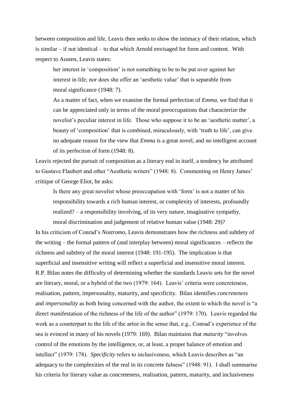between composition and life, Leavis then seeks to show the intimacy of their relation, which is similar – if not identical – to that which Arnold envisaged for form and content. With respect to Austen, Leavis states:

her interest in 'composition' is not something to be to be put over against her interest in life; nor does she offer an 'aesthetic value' that is separable from moral significance (1948: 7).

As a matter of fact, when we examine the formal perfection of *Emma*, we find that it can be appreciated only in terms of the moral preoccupations that characterize the novelist's peculiar interest in life. Those who suppose it to be an 'aesthetic matter', a beauty of 'composition' that is combined, miraculously, with 'truth to life', can give no adequate reason for the view that *Emma* is a great novel, and no intelligent account of its perfection of form (1948: 8).

Leavis rejected the pursuit of composition as a literary end in itself, a tendency he attributed to Gustave Flaubert and other "Aesthetic writers" (1948: 8). Commenting on Henry James' critique of George Eliot, he asks:

Is there any great novelist whose preoccupation with 'form' is not a matter of his responsibility towards a rich human interest, or complexity of interests, profoundly realized? – a responsibility involving, of its very nature, imaginative sympathy, moral discrimination and judgement of relative human value (1948: 29)?

In his criticism of Conrad's *Nostromo*, Leavis demonstrates how the richness and subtlety of the writing – the formal pattern of (and interplay between) moral significances – reflects the richness and subtlety of the moral interest (1948: 191-195). The implication is that superficial and insensitive writing will reflect a superficial and insensitive moral interest. R.P. Bilan notes the difficulty of determining whether the standards Leavis sets for the novel are literary, moral, or a hybrid of the two (1979: 164). Leavis' criteria were concreteness, realisation, pattern, impersonality, maturity, and specificity. Bilan identifies *concreteness* and *impersonality* as both being concerned with the author, the extent to which the novel is "a direct manifestation of the richness of the life of the author" (1979: 170). Leavis regarded the work as a counterpart to the life of the artist in the sense that, e.g., Conrad's experience of the sea is evinced in many of his novels (1979: 169). Bilan maintains that *maturity* "involves control of the emotions by the intelligence, or, at least, a proper balance of emotion and intellect" (1979: 178). *Specificity* refers to inclusiveness, which Leavis describes as "an adequacy to the complexities of the real in its concrete fulness" (1948: 91). I shall summarise his criteria for literary value as concreteness, realisation, pattern, maturity, and inclusiveness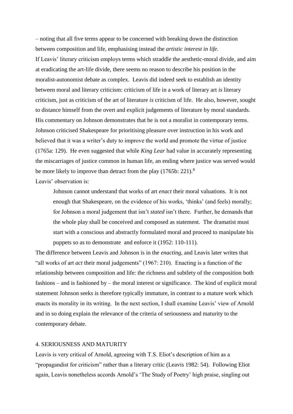– noting that all five terms appear to be concerned with breaking down the distinction between composition and life, emphasising instead the *artistic interest in life*. If Leavis' literary criticism employs terms which straddle the aesthetic-moral divide, and aim at eradicating the art-life divide, there seems no reason to describe his position in the moralist-autonomist debate as complex. Leavis did indeed seek to establish an identity between moral and literary criticism: criticism of life in a work of literary art *is* literary criticism, just as criticism of the art of literature *is* criticism of life. He also, however, sought to distance himself from the overt and explicit judgements of literature by moral standards. His commentary on Johnson demonstrates that he is not a moralist in contemporary terms. Johnson criticised Shakespeare for prioritising pleasure over instruction in his work and believed that it was a writer's duty to improve the world and promote the virtue of justice (1765a: 129). He even suggested that while *King Lear* had value in accurately representing the miscarriages of justice common in human life, an ending where justice was served would be more likely to improve than detract from the play  $(1765b: 221)^8$ 

Leavis' observation is:

Johnson cannot understand that works of art *enact* their moral valuations. It is not enough that Shakespeare, on the evidence of his works, 'thinks' (and feels) morally; for Johnson a moral judgement that isn't *stated* isn't there. Further, he demands that the whole play shall be conceived and composed as statement. The dramatist must start with a conscious and abstractly formulated moral and proceed to manipulate his puppets so as to demonstrate and enforce it (1952: 110-111).

The difference between Leavis and Johnson is in the *enacting*, and Leavis later writes that "all works of art *act* their moral judgements" (1967: 210). Enacting is a function of the relationship between composition and life: the richness and subtlety of the composition both fashions – and is fashioned by – the moral interest or significance. The kind of explicit moral statement Johnson seeks is therefore typically immature, in contrast to a mature work which enacts its morality in its writing. In the next section, I shall examine Leavis' view of Arnold and in so doing explain the relevance of the criteria of seriousness and maturity to the contemporary debate.

# 4. SERIOUSNESS AND MATURITY

Leavis is very critical of Arnold, agreeing with T.S. Eliot's description of him as a "propagandist for criticism" rather than a literary critic (Leavis 1982: 54). Following Eliot again, Leavis nonetheless accords Arnold's 'The Study of Poetry' high praise, singling out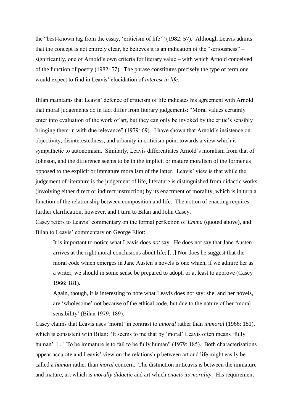the "best-known tag from the essay, 'criticism of life'" (1982: 57). Although Leavis admits that the concept is not entirely clear, he believes it is an indication of the "seriousness" – significantly, one of Arnold's own criteria for literary value – with which Arnold conceived of the function of poetry (1982: 57). The phrase constitutes precisely the type of term one would expect to find in Leavis' elucidation of *interest in life*.

Bilan maintains that Leavis' defence of criticism of life indicates his agreement with Arnold that moral judgements do in fact differ from literary judgements: "Moral values certainly enter into evaluation of the work of art, but they can only be invoked by the critic's sensibly bringing them in with due relevance" (1979: 69). I have shown that Arnold's insistence on objectivity, disinterestedness, and urbanity in criticism point towards a view which is sympathetic to autonomism. Similarly, Leavis differentiates Arnold's moralism from that of Johnson, and the difference seems to be in the implicit or mature moralism of the former as opposed to the explicit or immature moralism of the latter. Leavis' view is that while the judgement of literature is the judgement of life, literature is distinguished from didactic works (involving either direct or indirect instruction) by its enactment of morality, which is in turn a function of the relationship between composition and life. The notion of enacting requires further clarification, however, and I turn to Bilan and John Casey.

Casey refers to Leavis' commentary on the formal perfection of *Emma* (quoted above), and Bilan to Leavis' commentary on George Eliot:

It is important to notice what Leavis does *not* say. He does not say that Jane Austen arrives at the right moral conclusions about life; [...] Nor does he suggest that the moral code which emerges in Jane Austen's novels is one which, if we admire her as a writer, we should in some sense be prepared to adopt, or at least to approve (Casey 1966: 181).

Again, though, it is interesting to note what Leavis does not say: she, and her novels, are 'wholesome' not because of the ethical code, but due to the nature of her 'moral sensibility' (Bilan 1979: 189).

Casey claims that Leavis uses 'moral' in contrast to *amoral* rather than *immoral* (1966: 181), which is consistent with Bilan: "It seems to me that by 'moral' Leavis often means 'fully human'. [...] To be immature is to fail to be fully human" (1979: 185). Both characterisations appear accurate and Leavis' view on the relationship between art and life might easily be called a *human* rather than *moral* concern. The distinction in Leavis is between the immature and mature, art which is *morally didactic* and art which *enacts its morality*. His requirement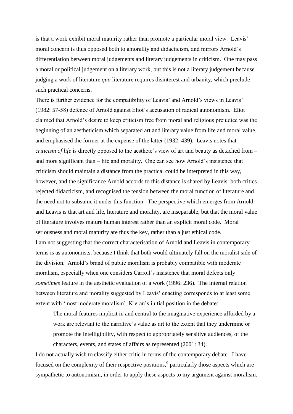is that a work exhibit moral maturity rather than promote a particular moral view. Leavis' moral concern is thus opposed both to amorality and didacticism, and mirrors Arnold's differentiation between moral judgements and literary judgements in criticism. One may pass a moral or political judgement on a literary work, but this is not a literary judgement because judging a work of literature *qua* literature requires disinterest and urbanity, which preclude such practical concerns.

There is further evidence for the compatibility of Leavis' and Arnold's views in Leavis' (1982: 57-58) defence of Arnold against Eliot's accusation of radical autonomism. Eliot claimed that Arnold's desire to keep criticism free from moral and religious prejudice was the beginning of an aestheticism which separated art and literary value from life and moral value, and emphasised the former at the expense of the latter (1932: 439). Leavis notes that *criticism of life* is directly opposed to the aesthete's view of art and beauty as detached from – and more significant than – life and morality. One can see how Arnold's insistence that criticism should maintain a distance from the practical could be interpreted in this way, however, and the significance Arnold accords to this distance is shared by Leavis: both critics rejected didacticism, and recognised the tension between the moral function of literature and the need not to subsume it under this function. The perspective which emerges from Arnold and Leavis is that art and life, literature and morality, are inseparable, but that the moral value of literature involves mature human interest rather than an explicit moral code. Moral seriousness and moral maturity are thus the key, rather than a just ethical code. I am not suggesting that the correct characterisation of Arnold and Leavis in contemporary terms is as autonomists, because I think that both would ultimately fall on the moralist side of the division. Arnold's brand of public moralism is probably compatible with moderate moralism, especially when one considers Carroll's insistence that moral defects only *sometimes* feature in the aesthetic evaluation of a work (1996: 236). The internal relation between literature and morality suggested by Leavis' enacting corresponds to at least some extent with 'most moderate moralism', Kieran's initial position in the debate:

The moral features implicit in and central to the imaginative experience afforded by a work are relevant to the narrative's value as art to the extent that they undermine or promote the intelligibility, with respect to appropriately sensitive audiences, of the characters, events, and states of affairs as represented (2001: 34).

I do not actually wish to classify either critic in terms of the contemporary debate. I have focused on the complexity of their respective positions,<sup>9</sup> particularly those aspects which are sympathetic to autonomism, in order to apply these aspects to my argument against moralism.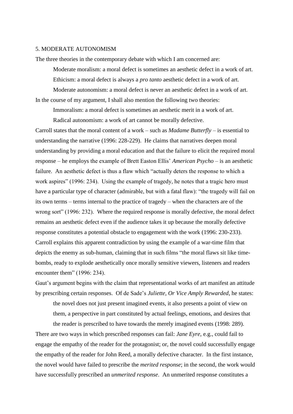#### 5. MODERATE AUTONOMISM

The three theories in the contemporary debate with which I am concerned are:

Moderate moralism: a moral defect is sometimes an aesthetic defect in a work of art. Ethicism: a moral defect is always a *pro tanto* aesthetic defect in a work of art. Moderate autonomism: a moral defect is never an aesthetic defect in a work of art. In the course of my argument, I shall also mention the following two theories:

Immoralism: a moral defect is sometimes an aesthetic merit in a work of art. Radical autonomism: a work of art cannot be morally defective.

Carroll states that the moral content of a work – such as *Madame Butterfly* – is essential to understanding the narrative (1996: 228-229). He claims that narratives deepen moral understanding by providing a moral education and that the failure to elicit the required moral response – he employs the example of Brett Easton Ellis' *American Psycho* – is an aesthetic failure. An aesthetic defect is thus a flaw which "actually deters the response to which a work aspires" (1996: 234). Using the example of tragedy, he notes that a tragic hero must have a particular type of character (admirable, but with a fatal flaw): "the tragedy will fail on its own terms – terms internal to the practice of tragedy – when the characters are of the wrong sort" (1996: 232). Where the required response is morally defective, the moral defect remains an aesthetic defect even if the audience takes it up because the morally defective response constitutes a potential obstacle to engagement with the work (1996: 230-233). Carroll explains this apparent contradiction by using the example of a war-time film that depicts the enemy as sub-human, claiming that in such films "the moral flaws sit like timebombs, ready to explode aesthetically once morally sensitive viewers, listeners and readers encounter them" (1996: 234).

Gaut's argument begins with the claim that representational works of art manifest an attitude by prescribing certain responses. Of de Sade's *Juliette, Or Vice Amply Rewarded*, he states:

the novel does not just present imagined events, it also presents a point of view on them, a perspective in part constituted by actual feelings, emotions, and desires that the reader is prescribed to have towards the merely imagined events (1998: 289).

There are two ways in which prescribed responses can fail: *Jane Eyre*, e.g., could fail to engage the empathy of the reader for the protagonist; or, the novel could successfully engage the empathy of the reader for John Reed, a morally defective character. In the first instance, the novel would have failed to prescribe the *merited response*; in the second, the work would have successfully prescribed an *unmerited response*. An unmerited response constitutes a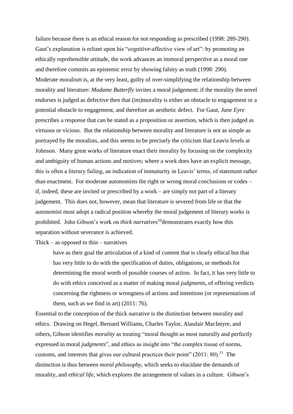failure because there is an ethical reason for not responding as prescribed (1998: 289-290). Gaut's explanation is reliant upon his "cognitive-affective view of art": by promoting an ethically reprehensible attitude, the work advances an immoral perspective as a moral one and therefore commits an epistemic error by showing falsity as truth (1998: 290). Moderate moralism is, at the very least, guilty of over-simplifying the relationship between morality and literature: *Madame Butterfly* invites a moral judgement; if the morality the novel endorses is judged as defective then that (im)morality is either an obstacle to engagement or a potential obstacle to engagement, and therefore an aesthetic defect. For Gaut, *Jane Eyre* prescribes a response that can be stated as a proposition or assertion, which is then judged as virtuous or vicious. But the relationship between morality and literature is not as simple as portrayed by the moralists, and this seems to be precisely the criticism that Leavis levels at Johnson. Many great works of literature enact their morality by focusing on the complexity and ambiguity of human actions and motives; where a work does have an explicit message, this is often a literary failing, an indication of immaturity in Leavis' terms, of statement rather than enactment. For moderate autonomists the right or wrong moral conclusions or codes – if, indeed, these are invited or prescribed by a work – are simply not part of a literary judgement. This does not, however, mean that literature is severed from life or that the autonomist must adopt a radical position whereby the moral judgement of literary works is prohibited. John Gibson's work on *thick narratives*<sup>10</sup>demonstrates exactly how this separation without severance is achieved.

#### Thick – as opposed to thin – narratives

have as their goal the articulation of a kind of content that is clearly ethical but that has very little to do with the specification of duties, obligations, or methods for determining the moral worth of possible courses of action. In fact, it has very little to do with ethics conceived as a matter of making moral *judgments*, of offering verdicts concerning the rightness or wrongness of actions and intentions (or representations of them, such as we find in art) (2011: 76).

Essential to the conception of the thick narrative is the distinction between morality and ethics. Drawing on Hegel, Bernard Williams, Charles Taylor, Alasdair MacIntyre, and others, Gibson identifies *morality* as treating "moral thought as most naturally and perfectly expressed in moral *judgments*", and ethics as insight into "the complex tissue of norms, customs, and interests that gives our cultural practices their point"  $(2011: 80)$ .<sup>11</sup> The distinction is thus between *moral philosophy*, which seeks to elucidate the demands of morality, and *ethical life*, which explores the arrangement of values in a culture. Gibson's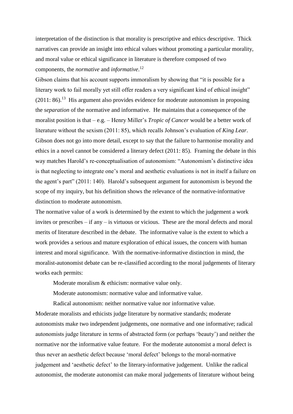interpretation of the distinction is that morality is prescriptive and ethics descriptive. Thick narratives can provide an insight into ethical values without promoting a particular morality, and moral value or ethical significance in literature is therefore composed of two components, the *normative* and *informative*. 12

Gibson claims that his account supports immoralism by showing that "it is possible for a literary work to fail morally yet still offer readers a very significant kind of ethical insight"  $(2011: 86).$ <sup>13</sup> His argument also provides evidence for moderate autonomism in proposing the *separation* of the normative and informative. He maintains that a consequence of the moralist position is that – e.g. – Henry Miller's *Tropic of Cancer* would be a better work of literature without the sexism (2011: 85), which recalls Johnson's evaluation of *King Lear*. Gibson does not go into more detail, except to say that the failure to harmonise morality and ethics in a novel cannot be considered a literary defect (2011: 85). Framing the debate in this way matches Harold's re-conceptualisation of autonomism: "Autonomism's distinctive idea is that neglecting to integrate one's moral and aesthetic evaluations is not in itself a failure on the agent's part" (2011: 140). Harold's subsequent argument for autonomism is beyond the scope of my inquiry, but his definition shows the relevance of the normative-informative distinction to moderate autonomism.

The normative value of a work is determined by the extent to which the judgement a work invites or prescribes – if any – is virtuous or vicious. These are the moral defects and moral merits of literature described in the debate. The informative value is the extent to which a work provides a serious and mature exploration of ethical issues, the concern with human interest and moral significance. With the normative-informative distinction in mind, the moralist-autonomist debate can be re-classified according to the moral judgements of literary works each permits:

Moderate moralism  $\&$  ethicism: normative value only.

Moderate autonomism: normative value and informative value.

Radical autonomism: neither normative value nor informative value.

Moderate moralists and ethicists judge literature by normative standards; moderate autonomists make two independent judgements, one normative and one informative; radical autonomists judge literature in terms of abstracted form (or perhaps 'beauty') and neither the normative nor the informative value feature. For the moderate autonomist a moral defect is thus never an aesthetic defect because 'moral defect' belongs to the moral-normative judgement and 'aesthetic defect' to the literary-informative judgement. Unlike the radical autonomist, the moderate autonomist can make moral judgements of literature without being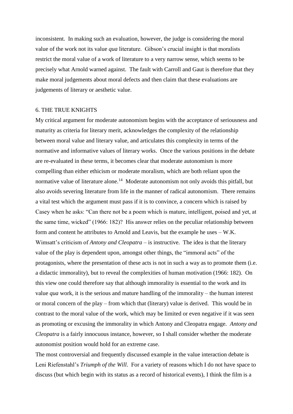inconsistent. In making such an evaluation, however, the judge is considering the moral value of the work not its value *qua* literature. Gibson's crucial insight is that moralists restrict the moral value of a work of literature to a very narrow sense, which seems to be precisely what Arnold warned against. The fault with Carroll and Gaut is therefore that they make moral judgements about moral defects and then claim that these evaluations are judgements of literary or aesthetic value.

## 6. THE TRUE KNIGHTS

My critical argument for moderate autonomism begins with the acceptance of seriousness and maturity as criteria for literary merit, acknowledges the complexity of the relationship between moral value and literary value, and articulates this complexity in terms of the normative and informative values of literary works. Once the various positions in the debate are re-evaluated in these terms, it becomes clear that moderate autonomism is more compelling than either ethicism or moderate moralism, which are both reliant upon the normative value of literature alone.<sup>14</sup> Moderate autonomism not only avoids this pitfall, but also avoids severing literature from life in the manner of radical autonomism. There remains a vital test which the argument must pass if it is to convince, a concern which is raised by Casey when he asks: "Can there not be a poem which is mature, intelligent, poised and yet, at the same time, wicked" (1966: 182)? His answer relies on the peculiar relationship between form and content he attributes to Arnold and Leavis, but the example he uses – W.K. Wimsatt's criticism of *Antony and Cleopatra* – is instructive. The idea is that the literary value of the play is dependent upon, amongst other things, the "immoral acts" of the protagonists, where the presentation of these acts is not in such a way as to promote them (i.e. a didactic immorality), but to reveal the complexities of human motivation (1966: 182). On this view one could therefore say that although immorality is essential to the work and its value *qua* work, it is the serious and mature handling of the immorality – the human interest or moral concern of the play – from which that (literary) value is derived. This would be in contrast to the moral value of the work, which may be limited or even negative if it was seen as promoting or excusing the immorality in which Antony and Cleopatra engage. *Antony and Cleopatra* is a fairly innocuous instance, however, so I shall consider whether the moderate autonomist position would hold for an extreme case.

The most controversial and frequently discussed example in the value interaction debate is Leni Riefenstahl's *Triumph of the Will*. For a variety of reasons which I do not have space to discuss (but which begin with its status as a record of historical events), I think the film is a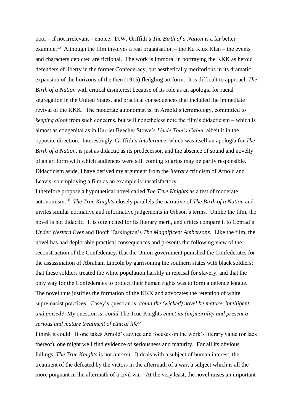poor – if not irrelevant – choice. D.W. Griffith's *The Birth of a Nation* is a far better example.<sup>15</sup> Although the film involves a real organisation – the Ku Klux Klan – the events and characters depicted are fictional. The work is immoral in portraying the KKK as heroic defenders of liberty in the former Confederacy, but aesthetically meritorious in its dramatic expansion of the horizons of the then (1915) fledgling art form. It is difficult to approach *The Birth of a Nation* with critical disinterest because of its role as an apologia for racial segregation in the United States, and practical consequences that included the immediate revival of the KKK. The moderate autonomist is, in Arnold's terminology, committed to *keeping aloof* from such concerns, but will nonetheless note the film's didacticism – which is almost as congenital as in Harriet Beecher Stowe's *Uncle Tom's Cabin*, albeit it in the opposite direction. Interestingly, Griffith's *Intolerance*, which was itself an apologia for *The Birth of a Nation*, is just as didactic as its predecessor, and the absence of sound and novelty of an art form with which audiences were still coming to grips may be partly responsible. Didacticism aside, I have derived my argument from the *literary* criticism of Arnold and Leavis, so employing a film as an example is unsatisfactory.

I therefore propose a hypothetical novel called *The True Knights* as a test of moderate autonomism.<sup>16</sup> *The True Knights* closely parallels the narrative of *The Birth of a Nation* and invites similar normative and informative judgements in Gibson's terms. Unlike the film, the novel is not didactic. It is often cited for its literary merit, and critics compare it to Conrad's *Under Western Eyes* and Booth Tarkington's *The Magnificent Ambersons*. Like the film, the novel has had deplorable practical consequences and presents the following view of the reconstruction of the Confederacy: that the Union government punished the Confederates for the assassination of Abraham Lincoln by garrisoning the southern states with black soldiers; that these soldiers treated the white population harshly in reprisal for slavery; and that the only way for the Confederates to protect their human rights was to form a defence league. The novel thus justifies the formation of the KKK and advocates the retention of white supremacist practices. Casey's question is: *could the (wicked) novel be mature, intelligent, and poised?* My question is: *could* The True Knights *enact its (im)morality and present a serious and mature treatment of ethical life?*

I think it could. If one takes Arnold's advice and focuses on the work's literary value (or lack thereof), one might well find evidence of seriousness and maturity. For all its obvious failings, *The True Knights* is not *amoral*. It deals with a subject of human interest, the treatment of the defeated by the victors in the aftermath of a war, a subject which is all the more poignant in the aftermath of a civil war. At the very least, the novel raises an important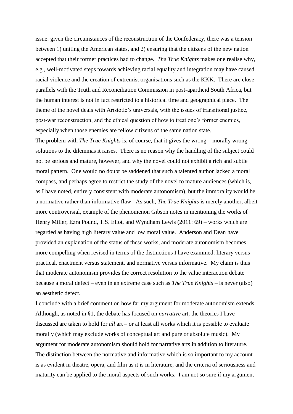issue: given the circumstances of the reconstruction of the Confederacy, there was a tension between 1) uniting the American states, and 2) ensuring that the citizens of the new nation accepted that their former practices had to change. *The True Knights* makes one realise why, e.g., well-motivated steps towards achieving racial equality and integration may have caused racial violence and the creation of extremist organisations such as the KKK. There are close parallels with the Truth and Reconciliation Commission in post-apartheid South Africa, but the human interest is not in fact restricted to a historical time and geographical place. The theme of the novel deals with Aristotle's universals, with the issues of transitional justice, post-war reconstruction, and the ethical question of how to treat one's former enemies, especially when those enemies are fellow citizens of the same nation state.

The problem with *The True Knights* is, of course, that it gives the wrong – morally wrong – solutions to the dilemmas it raises. There is no reason why the handling of the subject could not be serious and mature, however, and why the novel could not exhibit a rich and subtle moral pattern. One would no doubt be saddened that such a talented author lacked a moral compass, and perhaps agree to restrict the study of the novel to mature audiences (which is, as I have noted, entirely consistent with moderate autonomism), but the immorality would be a normative rather than informative flaw. As such, *The True Knights* is merely another, albeit more controversial, example of the phenomenon Gibson notes in mentioning the works of Henry Miller, Ezra Pound, T.S. Eliot, and Wyndham Lewis (2011: 69) – works which are regarded as having high literary value and low moral value. Anderson and Dean have provided an explanation of the status of these works, and moderate autonomism becomes more compelling when revised in terms of the distinctions I have examined: literary versus practical, enactment versus statement, and normative versus informative. My claim is thus that moderate autonomism provides the correct resolution to the value interaction debate because a moral defect – even in an extreme case such as *The True Knights* – is never (also) an aesthetic defect.

I conclude with a brief comment on how far my argument for moderate autonomism extends. Although, as noted in §1, the debate has focused on *narrative* art, the theories I have discussed are taken to hold for *all* art – or at least all works which it is possible to evaluate morally (which may exclude works of conceptual art and pure or absolute music). My argument for moderate autonomism should hold for narrative arts in addition to literature. The distinction between the normative and informative which is so important to my account is as evident in theatre, opera, and film as it is in literature, and the criteria of seriousness and maturity can be applied to the moral aspects of such works. I am not so sure if my argument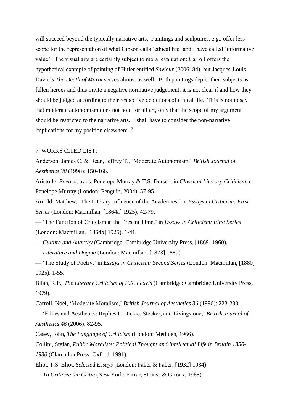will succeed beyond the typically narrative arts. Paintings and sculptures, e.g., offer less scope for the representation of what Gibson calls 'ethical life' and I have called 'informative value'. The visual arts are certainly subject to moral evaluation: Carroll offers the hypothetical example of painting of Hitler entitled *Saviour* (2006: 84), but Jacques-Louis David's *The Death of Marat* serves almost as well. Both paintings depict their subjects as fallen heroes and thus invite a negative normative judgement; it is not clear if and how they should be judged according to their respective depictions of ethical life. This is not to say that moderate autonomism does not hold for all art, only that the scope of my argument should be restricted to the narrative arts. I shall have to consider the non-narrative implications for my position elsewhere.<sup>17</sup>

#### 7. WORKS CITED LIST:

Anderson, James C. & Dean, Jeffrey T., 'Moderate Autonomism,' *British Journal of Aesthetics 38* (1998): 150-166.

Aristotle, *Poetics*, trans. Penelope Murray & T.S. Dorsch, in *Classical Literary Criticism*, ed. Penelope Murray (London: Penguin, 2004), 57-95.

Arnold, Matthew, 'The Literary Influence of the Academies,' in *Essays in Criticism: First Series* (London: Macmillan, [1864a] 1925), 42-79.

— 'The Function of Criticism at the Present Time,' in *Essays in Criticism: First Series* (London: Macmillan, [1864b] 1925), 1-41.

— *Culture and Anarchy* (Cambridge: Cambridge University Press, [1869] 1960).

— *Literature and Dogma* (London: Macmillan, [1873] 1889).

— 'The Study of Poetry,' in *Essays in Criticism: Second Series* (London: Macmillan, [1880] 1925), 1-55.

Bilan, R.P., *The Literary Criticism of F.R. Leavis* (Cambridge: Cambridge University Press, 1979).

Carroll, Noël, 'Moderate Moralism,' *British Journal of Aesthetics 36* (1996): 223-238.

— 'Ethics and Aesthetics: Replies to Dickie, Stecker, and Livingstone,' *British Journal of Aesthetics 46* (2006): 82-95.

Casey, John, *The Language of Criticism* (London: Methuen, 1966).

Collini, Stefan, *Public Moralists: Political Thought and Intellectual Life in Britain 1850-*

*1930* (Clarendon Press: Oxford, 1991).

Eliot, T.S. Eliot, *Selected Essays* (London: Faber & Faber, [1932] 1934).

— *To Criticize the Critic* (New York: Farrar, Strauss & Giroux, 1965).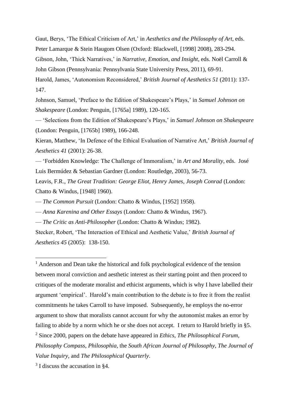Gaut, Berys, 'The Ethical Criticism of Art,' in *Aesthetics and the Philosophy of Art*, eds. Peter Lamarque & Stein Haugom Olsen (Oxford: Blackwell, [1998] 2008), 283-294. Gibson, John, 'Thick Narratives,' in *Narrative, Emotion, and Insight*, eds. Noël Carroll & John Gibson (Pennsylvania: Pennsylvania State University Press, 2011), 69-91. Harold, James, 'Autonomism Reconsidered,' *British Journal of Aesthetics 51* (2011): 137- 147.

Johnson, Samuel, 'Preface to the Edition of Shakespeare's Plays,' in *Samuel Johnson on Shakespeare* (London: Penguin, [1765a] 1989), 120-165.

— 'Selections from the Edition of Shakespeare's Plays,' in *Samuel Johnson on Shakespeare* (London: Penguin, [1765b] 1989), 166-248.

Kieran, Matthew, 'In Defence of the Ethical Evaluation of Narrative Art,' *British Journal of Aesthetics 41* (2001): 26-38.

— 'Forbidden Knowledge: The Challenge of Immoralism,' in *Art and Morality*, eds. José Luis Bermúdez & Sebastian Gardner (London: Routledge, 2003), 56-73.

Leavis, F.R., *The Great Tradition: George Eliot, Henry James, Joseph Conrad* (London: Chatto & Windus, [1948] 1960).

— *The Common Pursuit* (London: Chatto & Windus, [1952] 1958).

— *Anna Karenina and Other Essays* (London: Chatto & Windus, 1967).

— *The Critic as Anti-Philosopher* (London: Chatto & Windus; 1982).

Stecker, Robert, 'The Interaction of Ethical and Aesthetic Value,' *British Journal of Aesthetics 45* (2005): 138-150.

 $<sup>1</sup>$  Anderson and Dean take the historical and folk psychological evidence of the tension</sup> between moral conviction and aesthetic interest as their starting point and then proceed to critiques of the moderate moralist and ethicist arguments, which is why I have labelled their argument 'empirical'. Harold's main contribution to the debate is to free it from the realist commitments he takes Carroll to have imposed. Subsequently, he employs the no-error argument to show that moralists cannot account for why the autonomist makes an error by failing to abide by a norm which he or she does not accept. I return to Harold briefly in §5. <sup>2</sup> Since 2000, papers on the debate have appeared in *Ethics*, *The Philosophical Forum*, *Philosophy Compass*, *Philosophia*, the *South African Journal of Philosophy*, *The Journal of Value Inquiry*, and *The Philosophical Quarterly*.

<sup>3</sup> I discuss the accusation in §4.

1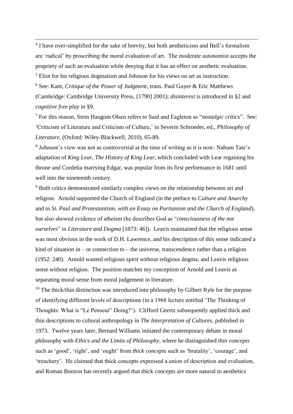<sup>4</sup> I have over-simplified for the sake of brevity, but both aestheticism and Bell's formalism are 'radical' by proscribing the moral evaluation of art. The moderate autonomist accepts the propriety of such an evaluation while denying that it has an effect on aesthetic evaluation. <sup>5</sup> Eliot for his religious dogmatism and Johnson for his views on art as instruction.

<u>.</u>

<sup>6</sup> See: Kant, *Critique of the Power of Judgment*, trans. Paul Guyer & Eric Matthews (Cambridge: Cambridge University Press, [1790] 2001); *disinterest* is introduced in §2 and *cognitive free play* in §9.

<sup>7</sup> For this reason, Stein Haugom Olsen refers to Said and Eagleton as "*nostalgic critics*". See: 'Criticism of Literature and Criticism of Culture,' in Severin Schroeder, ed., *Philosophy of Literature*, (Oxford: Wiley-Blackwell, 2010), 65-89.

8 Johnson's view was not as controversial at the time of writing as it is now: Nahum Tate's adaptation of *King Lear*, *The History of King Lear*, which concluded with Lear regaining his throne and Cordelia marrying Edgar, was popular from its first performance in 1681 until well into the nineteenth century.

<sup>9</sup> Both critics demonstrated similarly complex views on the relationship between art and religion. Arnold supported the Church of England (in the preface to *Culture and Anarchy* and in *St. Paul and Protestantism, with an Essay on Puritanism and the Church of England*), but also showed evidence of atheism (he describes God as "*consciousness of the not ourselves*" in *Literature and Dogma* [1873: 46]). Leavis maintained that the religious sense was most obvious in the work of D.H. Lawrence, and his description of this sense indicated a kind of situation in – or connection to – the universe, transcendence rather than a religion (1952: 240). Arnold wanted religious spirit without religious dogma, and Leavis religious sense without religion. The position matches my conception of Arnold and Leavis as separating moral sense from moral judgement in literature.

 $10$  The thick/thin distinction was introduced into philosophy by Gilbert Ryle for the purpose of identifying different levels of descriptions (in a 1968 lecture entitled 'The Thinking of Thoughts: What is "Le Penseur" Doing?'). Clifford Geertz subsequently applied thick and thin descriptions to cultural anthropology in *The Interpretation of Cultures*, published in 1973. Twelve years later, Bernard Williams initiated the contemporary debate in moral philosophy with *Ethics and the Limits of Philosophy*, where he distinguished *thin concepts* such as 'good', 'right', and 'ought' from *thick concepts* such as 'brutality', 'courage', and 'treachery'. He claimed that thick concepts expressed a union of description and evaluation, and Roman Bonzon has recently argued that thick concepts are more natural to aesthetics